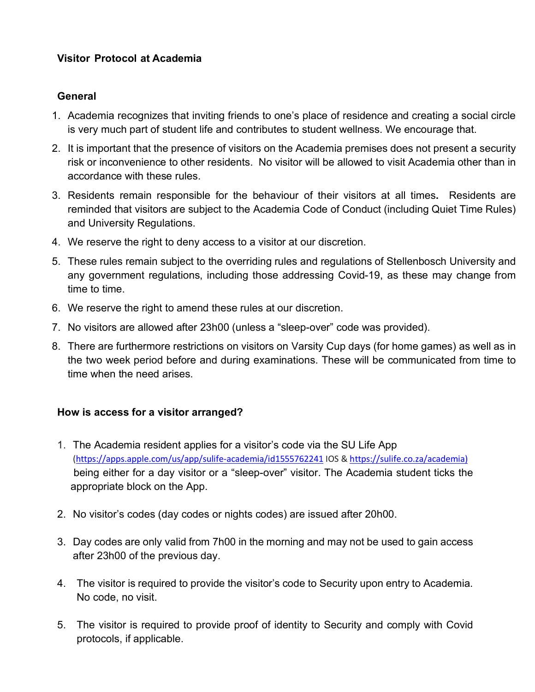# **Visitor Protocol at Academia**

# **General**

- 1. Academia recognizes that inviting friends to one's place of residence and creating a social circle is very much part of student life and contributes to student wellness. We encourage that.
- 2. It is important that the presence of visitors on the Academia premises does not present a security risk or inconvenience to other residents. No visitor will be allowed to visit Academia other than in accordance with these rules.
- 3. Residents remain responsible for the behaviour of their visitors at all times**.** Residents are reminded that visitors are subject to the Academia Code of Conduct (including Quiet Time Rules) and University Regulations.
- 4. We reserve the right to deny access to a visitor at our discretion.
- 5. These rules remain subject to the overriding rules and regulations of Stellenbosch University and any government regulations, including those addressing Covid-19, as these may change from time to time.
- 6. We reserve the right to amend these rules at our discretion.
- 7. No visitors are allowed after 23h00 (unless a "sleep-over" code was provided).
- 8. There are furthermore restrictions on visitors on Varsity Cup days (for home games) as well as in the two week period before and during examinations. These will be communicated from time to time when the need arises.

## **How is access for a visitor arranged?**

- 1. The Academia resident applies for a visitor's code via the SU Life App (https://apps.apple.com/us/app/sulife-academia/id1555762241 IOS & https://sulife.co.za/academia) being either for a day visitor or a "sleep-over" visitor. The Academia student ticks the appropriate block on the App.
- 2. No visitor's codes (day codes or nights codes) are issued after 20h00.
- 3. Day codes are only valid from 7h00 in the morning and may not be used to gain access after 23h00 of the previous day.
- 4. The visitor is required to provide the visitor's code to Security upon entry to Academia. No code, no visit.
- 5. The visitor is required to provide proof of identity to Security and comply with Covid protocols, if applicable.